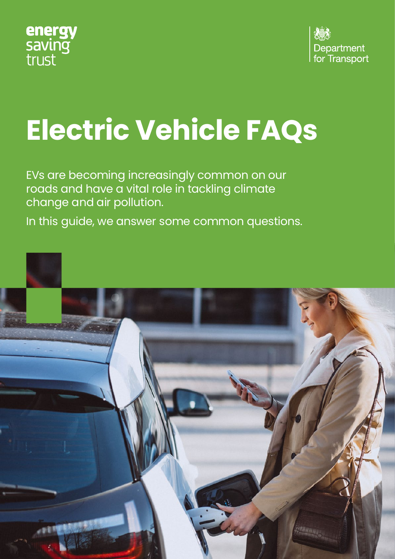



# **Electric Vehicle FAQs**

EVs are becoming increasingly common on our roads and have a vital role in tackling climate change and air pollution.

In this guide, we answer some common questions.

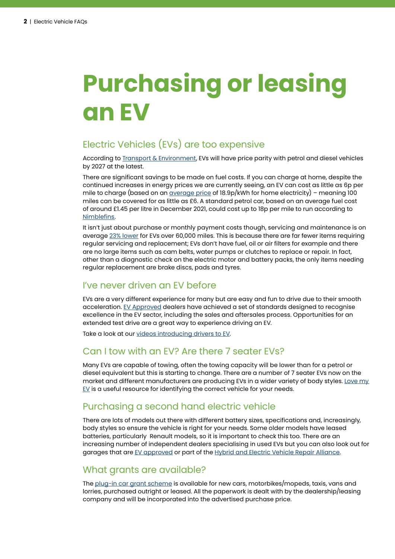### **Purchasing or leasing an EV**

### Electric Vehicles (EVs) are too expensive

According to [Transport & Environment,](https://www.transportenvironment.org/discover/evs-will-be-cheaper-than-petrol-cars-in-all-segments-by-2027-bnef-analysis-finds/) EVs will have price parity with petrol and diesel vehicles by 2027 at the latest.

There are significant savings to be made on fuel costs. If you can charge at home, despite the continued increases in energy prices we are currently seeing, an EV can cost as little as 6p per mile to charge (based on an [average price](https://www.nimblefins.co.uk/average-cost-electricity-kwh-uk) of 18.9p/kWh for home electricity) – meaning 100 miles can be covered for as little as £6. A standard petrol car, based on an average fuel cost of around £1.45 per litre in December 2021, could cost up to 18p per mile to run according to [Nimblefins.](https://www.nimblefins.co.uk/largest-car-insurance-companies/average-cost-petrol-car#:~:text=On%20a%20per%20mile%20basis,around%2015.7%20pence%20per%20mile)

It isn't just about purchase or monthly payment costs though, servicing and maintenance is on average [23% lower](https://www.motoringelectric.com/buying/service-maintenance-cheaper-electric-car/) for EVs over 60,000 miles. This is because there are far fewer items requiring regular servicing and replacement; EVs don't have fuel, oil or air filters for example and there are no large items such as cam belts, water pumps or clutches to replace or repair. In fact, other than a diagnostic check on the electric motor and battery packs, the only items needing regular replacement are brake discs, pads and tyres.

#### I've never driven an EV before

EVs are a very different experience for many but are easy and fun to drive due to their smooth acceleration. [EV Approved](https://www.evapproved.co.uk/) dealers have achieved a set of standards designed to recognise excellence in the EV sector, including the sales and aftersales process. Opportunities for an extended test drive are a great way to experience driving an EV.

Take a look at our [videos introducing drivers to EV](https://energysavingtrust.org.uk/advice/efficient-driving/).

#### Can I tow with an EV? Are there 7 seater EVs?

Many EVs are capable of towing, often the towing capacity will be lower than for a petrol or diesel equivalent but this is starting to change. There are a number of 7 seater EVs now on the market and different manufacturers are producing EVs in a wider variety of body styles. Love my [EV](https://lovemyev.com/) is a useful resource for identifying the correct vehicle for your needs.

#### Purchasing a second hand electric vehicle

There are lots of models out there with different battery sizes, specifications and, increasingly, body styles so ensure the vehicle is right for your needs. Some older models have leased batteries, particularly Renault models, so it is important to check this too. There are an increasing number of independent dealers specialising in used EVs but you can also look out for garages that are [EV approved](https://www.evapproved.co.uk/) or part of the [Hybrid and Electric Vehicle Repair Alliance](https://www.hevra.org.uk/).

#### What grants are available?

The [plug-in car grant scheme](https://www.gov.uk/plug-in-car-van-grants) is available for new cars, motorbikes/mopeds, taxis, vans and lorries, purchased outright or leased. All the paperwork is dealt with by the dealership/leasing company and will be incorporated into the advertised purchase price.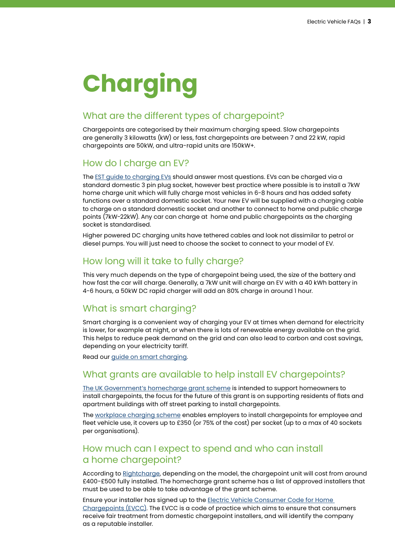## **Charging**

#### What are the different types of chargepoint?

Chargepoints are categorised by their maximum charging speed. Slow chargepoints are generally 3 kilowatts (kW) or less, fast chargepoints are between 7 and 22 kW, rapid chargepoints are 50kW, and ultra-rapid units are 150kW+.

#### How do I charge an EV?

The EST quide to charging EVs should answer most questions. EVs can be charged via a standard domestic 3 pin plug socket, however best practice where possible is to install a 7kW home charge unit which will fully charge most vehicles in 6-8 hours and has added safety functions over a standard domestic socket. Your new EV will be supplied with a charging cable to charge on a standard domestic socket and another to connect to home and public charge points (7kW-22kW). Any car can charge at home and public chargepoints as the charging socket is standardised.

Higher powered DC charging units have tethered cables and look not dissimilar to petrol or diesel pumps. You will just need to choose the socket to connect to your model of EV.

#### How long will it take to fully charge?

This very much depends on the type of chargepoint being used, the size of the battery and how fast the car will charge. Generally, a 7kW unit will charge an EV with a 40 kWh battery in 4-6 hours, a 50kW DC rapid charger will add an 80% charge in around 1 hour.

#### What is smart charging?

Smart charging is a convenient way of charging your EV at times when demand for electricity is lower, for example at night, or when there is lots of renewable energy available on the grid. This helps to reduce peak demand on the grid and can also lead to carbon and cost savings, depending on your electricity tariff.

Read our [guide on smart charging.](https://energysavingtrust.org.uk/advice/smart-charging-electric-vehicles/)

#### What grants are available to help install EV chargepoints?

[The UK Government's homecharge grant scheme](https://www.gov.uk/government/publications/customer-guidance-electric-vehicle-homecharge-scheme/electric-vehicle-homecharge-scheme-guidance-for-customers) is intended to support homeowners to install chargepoints, the focus for the future of this grant is on supporting residents of flats and apartment buildings with off street parking to install chargepoints.

The [workplace charging scheme](https://www.gov.uk/government/publications/customer-guidance-electric-vehicle-homecharge-scheme/electric-vehicle-homecharge-scheme-guidance-for-customers) enables employers to install chargepoints for employee and fleet vehicle use, it covers up to £350 (or 75% of the cost) per socket (up to a max of 40 sockets per organisations).

#### How much can I expect to spend and who can install a home chargepoint?

According to [Rightcharge,](https://rightcharge.co.uk/home-electric-car-charger-the-ultimate-2020-guide/) depending on the model, the chargepoint unit will cost from around £400-£500 fully installed. The homecharge grant scheme has a list of approved installers that must be used to be able to take advantage of the grant scheme.

Ensure your installer has signed up to the [Electric Vehicle Consumer Code for Home](https://www.electric-vehicle.org.uk/)  [Chargepoints \(EVCC\).](https://www.electric-vehicle.org.uk/) The EVCC is a code of practice which aims to ensure that consumers receive fair treatment from domestic chargepoint installers, and will identify the company as a reputable installer.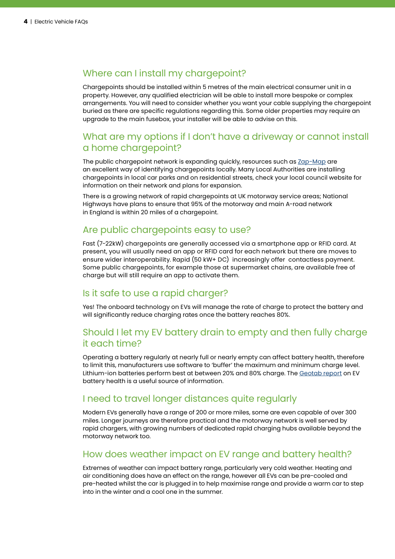#### Where can I install my chargepoint?

Chargepoints should be installed within 5 metres of the main electrical consumer unit in a property. However, any qualified electrician will be able to install more bespoke or complex arrangements. You will need to consider whether you want your cable supplying the chargepoint buried as there are specific regulations regarding this. Some older properties may require an upgrade to the main fusebox, your installer will be able to advise on this.

#### What are my options if I don't have a driveway or cannot install a home chargepoint?

The public chargepoint network is expanding quickly, resources such as [Zap-Map](https://www.zap-map.com/) are an excellent way of identifying chargepoints locally. Many Local Authorities are installing chargepoints in local car parks and on residential streets, check your local council website for information on their network and plans for expansion.

There is a growing network of rapid chargepoints at UK motorway service areas; National Highways have plans to ensure that 95% of the motorway and main A-road network in England is within 20 miles of a chargepoint.

#### Are public chargepoints easy to use?

Fast (7-22kW) chargepoints are generally accessed via a smartphone app or RFID card. At present, you will usually need an app or RFID card for each network but there are moves to ensure wider interoperability. Rapid (50 kW+ DC) increasingly offer contactless payment. Some public chargepoints, for example those at supermarket chains, are available free of charge but will still require an app to activate them.

#### Is it safe to use a rapid charger?

Yes! The onboard technology on EVs will manage the rate of charge to protect the battery and will significantly reduce charging rates once the battery reaches 80%.

#### Should I let my EV battery drain to empty and then fully charge it each time?

Operating a battery regularly at nearly full or nearly empty can affect battery health, therefore to limit this, manufacturers use software to 'buffer' the maximum and minimum charge level. Lithium-ion batteries perform best at between 20% and 80% charge. The [Geotab report](https://www.geotab.com/uk/blog/ev-battery-health/) on EV battery health is a useful source of information.

#### I need to travel longer distances quite regularly

Modern EVs generally have a range of 200 or more miles, some are even capable of over 300 miles. Longer journeys are therefore practical and the motorway network is well served by rapid chargers, with growing numbers of dedicated rapid charging hubs available beyond the motorway network too.

#### How does weather impact on EV range and battery health?

Extremes of weather can impact battery range, particularly very cold weather. Heating and air conditioning does have an effect on the range, however all EVs can be pre-cooled and pre-heated whilst the car is plugged in to help maximise range and provide a warm car to step into in the winter and a cool one in the summer.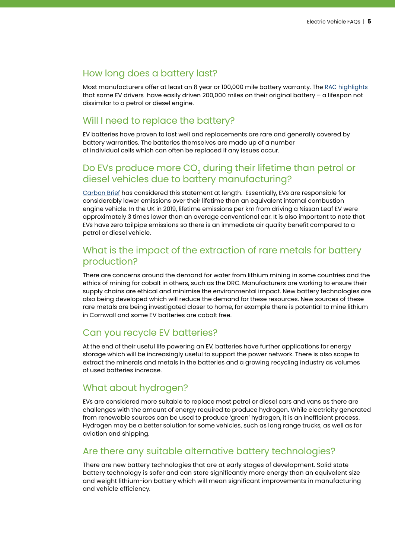#### How long does a battery last?

Most manufacturers offer at least an 8 year or 100,000 mile battery warranty. The [RAC highlights](https://www.rac.co.uk/drive/electric-cars/charging/how-long-do-electric-car-batteries-last/#:~:text=Most%20EVs%20use%20lithium%2Dion,distance%20%E2%80%93%20from%20an%20electric%20car) that some EV drivers have easily driven 200,000 miles on their original battery – a lifespan not dissimilar to a petrol or diesel engine.

#### Will I need to replace the battery?

EV batteries have proven to last well and replacements are rare and generally covered by battery warranties. The batteries themselves are made up of a number of individual cells which can often be replaced if any issues occur.

#### Do EVs produce more  $\mathsf{CO}_2$  during their lifetime than petrol or diesel vehicles due to battery manufacturing?

[Carbon Brief](https://www.carbonbrief.org/factcheck-how-electric-vehicles-help-to-tackle-climate-change) has considered this statement at length. Essentially, EVs are responsible for considerably lower emissions over their lifetime than an equivalent internal combustion engine vehicle. In the UK in 2019, lifetime emissions per km from driving a Nissan Leaf EV were approximately 3 times lower than an average conventional car. It is also important to note that EVs have zero tailpipe emissions so there is an immediate air quality benefit compared to a petrol or diesel vehicle.

#### What is the impact of the extraction of rare metals for battery production?

There are concerns around the demand for water from lithium mining in some countries and the ethics of mining for cobalt in others, such as the DRC. Manufacturers are working to ensure their supply chains are ethical and minimise the environmental impact. New battery technologies are also being developed which will reduce the demand for these resources. New sources of these rare metals are being investigated closer to home, for example there is potential to mine lithium in Cornwall and some EV batteries are cobalt free.

#### Can you recycle EV batteries?

At the end of their useful life powering an EV, batteries have further applications for energy storage which will be increasingly useful to support the power network. There is also scope to extract the minerals and metals in the batteries and a growing recycling industry as volumes of used batteries increase.

#### What about hydrogen?

EVs are considered more suitable to replace most petrol or diesel cars and vans as there are challenges with the amount of energy required to produce hydrogen. While electricity generated from renewable sources can be used to produce 'green' hydrogen, it is an inefficient process. Hydrogen may be a better solution for some vehicles, such as long range trucks, as well as for aviation and shipping.

#### Are there any suitable alternative battery technologies?

There are new battery technologies that are at early stages of development. Solid state battery technology is safer and can store significantly more energy than an equivalent size and weight lithium-ion battery which will mean significant improvements in manufacturing and vehicle efficiency.